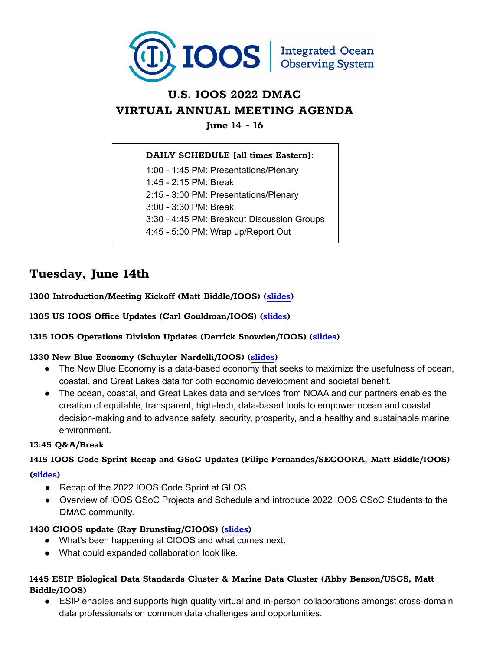

## **U.S. IOOS 2022 DMAC VIRTUAL ANNUAL MEETING AGENDA**

**June 14 - 16**

#### **DAILY SCHEDULE [all times Eastern]:**

1:00 - 1:45 PM: Presentations/Plenary

1:45 - 2:15 PM: Break

2:15 - 3:00 PM: Presentations/Plenary

3:00 - 3:30 PM: Break

3:30 - 4:45 PM: Breakout Discussion Groups

4:45 - 5:00 PM: Wrap up/Report Out

## **Tuesday, June 14th**

**1300 Introduction/Meeting Kickoff (Matt Biddle/IOOS) ([slides\)](https://cdn.ioos.noaa.gov/media/2022/05/2022%20DMAC%20Meeting%20Intro%20and%20Closing%20-%20Biddle.pptx)**

**1305 US IOOS Office Updates (Carl Gouldman/IOOS) [\(slides](https://cdn.ioos.noaa.gov/media/2022/05/IOOS%20Office%20Update%20for%20IOOS%20DMAC%20Meeting_2022.pptx))**

#### **1315 IOOS Operations Division Updates (Derrick Snowden/IOOS) (slides)**

#### **1330 New Blue Economy (Schuyler Nardelli/IOOS) [\(slides](https://cdn.ioos.noaa.gov/media/2022/05/Nardelli_New%20Blue%20Economy_DMAC%20Meeting%202022.pdf))**

- The New Blue Economy is a data-based economy that seeks to maximize the usefulness of ocean, coastal, and Great Lakes data for both economic development and societal benefit.
- The ocean, coastal, and Great Lakes data and services from NOAA and our partners enables the creation of equitable, transparent, high-tech, data-based tools to empower ocean and coastal decision-making and to advance safety, security, prosperity, and a healthy and sustainable marine environment.

#### **13:45 Q&A/Break**

# **1415 IOOS Code Sprint Recap and GSoC Updates (Filipe Fernandes/SECOORA, Matt Biddle/IOOS)**

#### **[\(slides](https://cdn.ioos.noaa.gov/media/2022/05/FF-GSoC-IOOS-2022.pptx))**

- Recap of the 2022 IOOS Code Sprint at GLOS.
- Overview of IOOS GSoC Projects and Schedule and introduce 2022 IOOS GSoC Students to the DMAC community.

#### **1430 CIOOS update (Ray Brunsting/CIOOS) [\(slides](https://cdn.ioos.noaa.gov/media/2022/05/2022-06-14-CIOOS-Brunsting-Bruce.pdf))**

- What's been happening at CIOOS and what comes next.
- What could expanded collaboration look like.

#### **1445 ESIP Biological Data Standards Cluster & Marine Data Cluster (Abby Benson/USGS, Matt Biddle/IOOS)**

● ESIP enables and supports high quality virtual and in-person collaborations amongst cross-domain data professionals on common data challenges and opportunities.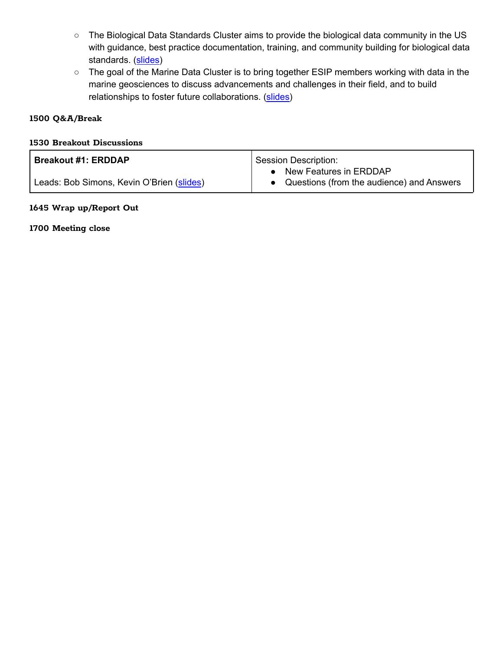- The Biological Data Standards Cluster aims to provide the biological data community in the US with guidance, best practice documentation, training, and community building for biological data standards. [\(slides](https://cdn.ioos.noaa.gov/media/2022/05/Benson_ESIPBioDataStandardsCluster.pptx))
- The goal of the Marine Data Cluster is to bring together ESIP members working with data in the marine geosciences to discuss advancements and challenges in their field, and to build relationships to foster future collaborations. [\(slides\)](https://cdn.ioos.noaa.gov/media/2022/05/MarineDataCluster_2022_DMAC_Intro.pptx)

#### **1500 Q&A/Break**

#### **1530 Breakout Discussions**

| <b>Breakout #1: ERDDAP</b>                | Session Description:                      |
|-------------------------------------------|-------------------------------------------|
|                                           | New Features in ERDDAP                    |
| Leads: Bob Simons, Kevin O'Brien (slides) | Questions (from the audience) and Answers |

#### **1645 Wrap up/Report Out**

**1700 Meeting close**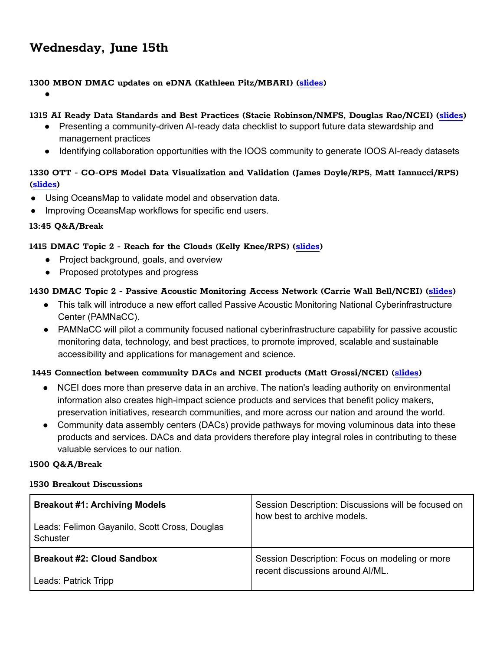### **Wednesday, June 15th**

#### **1300 MBON DMAC updates on eDNA (Kathleen Pitz/MBARI) ([slides\)](https://cdn.ioos.noaa.gov/media/2022/05/IOOS_DMAC_eDNA_kpitz.pptx)**

●

#### **1315 AI Ready Data Standards and Best Practices (Stacie Robinson/NMFS, Douglas Rao/NCEI) (slides)**

- Presenting a community-driven AI-ready data checklist to support future data stewardship and management practices
- Identifying collaboration opportunities with the IOOS community to generate IOOS AI-ready datasets

#### **1330 OTT - CO-OPS Model Data Visualization and Validation (James Doyle/RPS, Matt Iannucci/RPS) ([slides](https://cdn.ioos.noaa.gov/media/2022/05/Iannucci_COOPS_OceansMap.pptx))**

- Using OceansMap to validate model and observation data.
- Improving OceansMap workflows for specific end users.

#### **13:45 Q&A/Break**

#### **1415 DMAC Topic 2 - Reach for the Clouds (Kelly Knee/RPS) [\(slides](https://cdn.ioos.noaa.gov/media/2022/05/Knee_DMAC_Topic2.pdf))**

- Project background, goals, and overview
- Proposed prototypes and progress

#### **1430 DMAC Topic 2 - Passive Acoustic Monitoring Access Network (Carrie Wall Bell/NCEI) [\(slides](https://cdn.ioos.noaa.gov/media/2022/05/IOOS%20DMAC%202022_Wall.pdf))**

- This talk will introduce a new effort called Passive Acoustic Monitoring National Cyberinfrastructure Center (PAMNaCC).
- PAMNaCC will pilot a community focused national cyberinfrastructure capability for passive acoustic monitoring data, technology, and best practices, to promote improved, scalable and sustainable accessibility and applications for management and science.

#### **1445 Connection between community DACs and NCEI products (Matt Grossi/NCEI) ([slide](https://cdn.ioos.noaa.gov/media/2022/05/Grossi-dmac2022-meeting-redacted.pptx)s)**

- NCEI does more than preserve data in an archive. The nation's leading authority on environmental information also creates high-impact science products and services that benefit policy makers, preservation initiatives, research communities, and more across our nation and around the world.
- Community data assembly centers (DACs) provide pathways for moving voluminous data into these products and services. DACs and data providers therefore play integral roles in contributing to these valuable services to our nation.

#### **1500 Q&A/Break**

#### **1530 Breakout Discussions**

| <b>Breakout #1: Archiving Models</b><br>Leads: Felimon Gayanilo, Scott Cross, Douglas<br>Schuster | Session Description: Discussions will be focused on<br>how best to archive models. |
|---------------------------------------------------------------------------------------------------|------------------------------------------------------------------------------------|
| <b>Breakout #2: Cloud Sandbox</b>                                                                 | Session Description: Focus on modeling or more<br>recent discussions around AI/ML. |
| Leads: Patrick Tripp                                                                              |                                                                                    |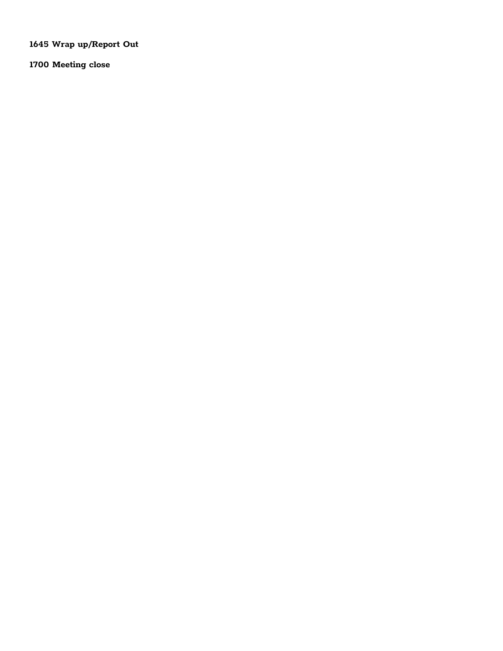**Wrap up/Report Out**

**Meeting close**